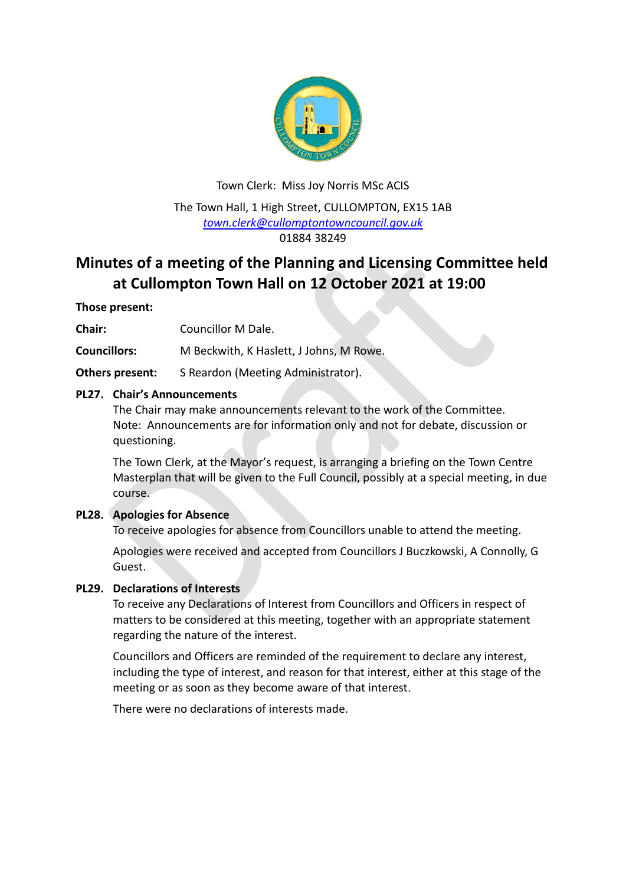

# Town Clerk: Miss Joy Norris MSc ACIS The Town Hall, 1 High Street, CULLOMPTON, EX15 1AB *[town.clerk@cullomptontowncouncil.gov.uk](mailto:town.clerk@cullomptontowncouncil.gov.uk)* 01884 38249

# **Minutes of a meeting of the Planning and Licensing Committee held at Cullompton Town Hall on 12 October 2021 at 19:00**

# **Those present:**

**Chair:** Councillor M Dale.

**Councillors:** M Beckwith, K Haslett, J Johns, M Rowe.

**Others present:** S Reardon (Meeting Administrator).

# **PL27. Chair's Announcements**

The Chair may make announcements relevant to the work of the Committee. Note: Announcements are for information only and not for debate, discussion or questioning.

The Town Clerk, at the Mayor's request, is arranging a briefing on the Town Centre Masterplan that will be given to the Full Council, possibly at a special meeting, in due course.

# **PL28. Apologies for Absence**

To receive apologies for absence from Councillors unable to attend the meeting.

Apologies were received and accepted from Councillors J Buczkowski, A Connolly, G Guest.

# **PL29. Declarations of Interests**

To receive any Declarations of Interest from Councillors and Officers in respect of matters to be considered at this meeting, together with an appropriate statement regarding the nature of the interest.

Councillors and Officers are reminded of the requirement to declare any interest, including the type of interest, and reason for that interest, either at this stage of the meeting or as soon as they become aware of that interest.

There were no declarations of interests made.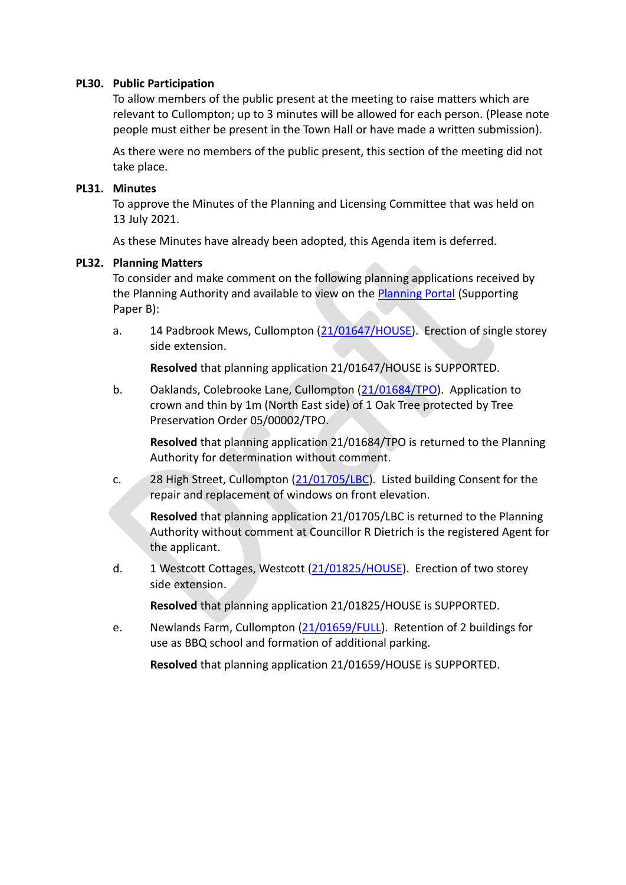#### **PL30. Public Participation**

To allow members of the public present at the meeting to raise matters which are relevant to Cullompton; up to 3 minutes will be allowed for each person. (Please note people must either be present in the Town Hall or have made a written submission).

As there were no members of the public present, this section of the meeting did not take place.

#### **PL31. Minutes**

To approve the Minutes of the Planning and Licensing Committee that was held on 13 July 2021.

As these Minutes have already been adopted, this Agenda item is deferred.

#### **PL32. Planning Matters**

To consider and make comment on the following planning applications received by the Planning Authority and available to view on the [Planning Portal](https://planning.middevon.gov.uk/online-applications/) (Supporting Paper B):

a. 14 Padbrook Mews, Cullompton [\(21/01647/HOUSE\)](https://planning.middevon.gov.uk/online-applications/applicationDetails.do?activeTab=documents&keyVal=QY18GPKS0I100). Erection of single storey side extension.

**Resolved** that planning application 21/01647/HOUSE is SUPPORTED.

b. Oaklands, Colebrooke Lane, Cullompton [\(21/01684/TPO\)](https://planning.middevon.gov.uk/online-applications/applicationDetails.do?activeTab=documents&keyVal=QYCKQ0KS0I100). Application to crown and thin by 1m (North East side) of 1 Oak Tree protected by Tree Preservation Order 05/00002/TPO.

**Resolved** that planning application 21/01684/TPO is returned to the Planning Authority for determination without comment.

c. 28 High Street, Cullompton [\(21/01705/LBC\)](https://planning.middevon.gov.uk/online-applications/applicationDetails.do?activeTab=documents&keyVal=QYGF0EKS04G00). Listed building Consent for the repair and replacement of windows on front elevation.

**Resolved** that planning application 21/01705/LBC is returned to the Planning Authority without comment at Councillor R Dietrich is the registered Agent for the applicant.

d. 1 Westcott Cottages, Westcott [\(21/01825/HOUSE\)](https://planning.middevon.gov.uk/online-applications/applicationDetails.do?activeTab=documents&keyVal=QZS457KS05K00). Erection of two storey side extension.

**Resolved** that planning application 21/01825/HOUSE is SUPPORTED.

e. Newlands Farm, Cullompton [\(21/01659/FULL\)](https://planning.middevon.gov.uk/online-applications/applicationDetails.do?activeTab=documents&keyVal=QY4UGEKS07T00). Retention of 2 buildings for use as BBQ school and formation of additional parking.

**Resolved** that planning application 21/01659/HOUSE is SUPPORTED.